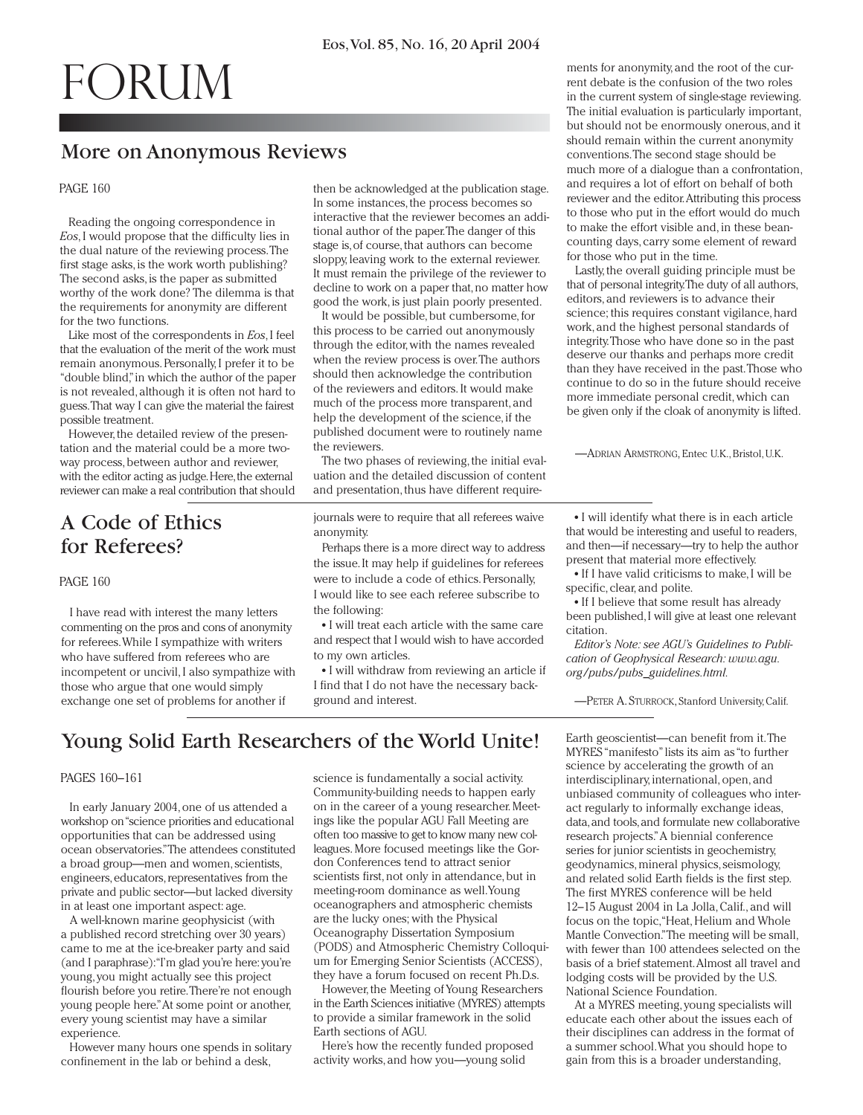# forum

## More on Anonymous Reviews

#### PAGE 160

Reading the ongoing correspondence in *Eos*, I would propose that the difficulty lies in the dual nature of the reviewing process.The first stage asks, is the work worth publishing? The second asks, is the paper as submitted worthy of the work done? The dilemma is that the requirements for anonymity are different for the two functions.

Like most of the correspondents in *Eos*,I feel that the evaluation of the merit of the work must remain anonymous. Personally, I prefer it to be "double blind,"in which the author of the paper is not revealed, although it is often not hard to guess.That way I can give the material the fairest possible treatment.

However, the detailed review of the presentation and the material could be a more twoway process, between author and reviewer, with the editor acting as judge. Here, the external reviewer can make a real contribution that should

## A Code of Ethics for Referees?

PAGE 160

I have read with interest the many letters commenting on the pros and cons of anonymity for referees.While I sympathize with writers who have suffered from referees who are incompetent or uncivil, I also sympathize with those who argue that one would simply exchange one set of problems for another if

then be acknowledged at the publication stage. In some instances, the process becomes so interactive that the reviewer becomes an additional author of the paper.The danger of this stage is,of course, that authors can become sloppy, leaving work to the external reviewer. It must remain the privilege of the reviewer to decline to work on a paper that, no matter how good the work, is just plain poorly presented.

It would be possible, but cumbersome, for this process to be carried out anonymously through the editor, with the names revealed when the review process is over.The authors should then acknowledge the contribution of the reviewers and editors. It would make much of the process more transparent, and help the development of the science, if the published document were to routinely name the reviewers.

The two phases of reviewing, the initial evaluation and the detailed discussion of content and presentation, thus have different require-

journals were to require that all referees waive anonymity.

Perhaps there is a more direct way to address the issue.It may help if guidelines for referees were to include a code of ethics. Personally, I would like to see each referee subscribe to the following:

● I will treat each article with the same care and respect that I would wish to have accorded to my own articles.

● I will withdraw from reviewing an article if I find that I do not have the necessary background and interest.

ments for anonymity, and the root of the current debate is the confusion of the two roles in the current system of single-stage reviewing. The initial evaluation is particularly important, but should not be enormously onerous, and it should remain within the current anonymity conventions.The second stage should be much more of a dialogue than a confrontation, and requires a lot of effort on behalf of both reviewer and the editor.Attributing this process to those who put in the effort would do much to make the effort visible and, in these beancounting days, carry some element of reward for those who put in the time.

Lastly, the overall guiding principle must be that of personal integrity.The duty of all authors, editors, and reviewers is to advance their science; this requires constant vigilance, hard work, and the highest personal standards of integrity.Those who have done so in the past deserve our thanks and perhaps more credit than they have received in the past.Those who continue to do so in the future should receive more immediate personal credit, which can be given only if the cloak of anonymity is lifted.

—ADRIAN ARMSTRONG, Entec U.K., Bristol, U.K.

● I will identify what there is in each article that would be interesting and useful to readers, and then—if necessary—try to help the author present that material more effectively.

● If I have valid criticisms to make, I will be specific, clear, and polite.

• If I believe that some result has already been published,I will give at least one relevant citation.

*Editor's Note: see AGU's Guidelines to Publication of Geophysical Research: www.agu. org/pubs/pubs\_guidelines.html.*

—PETER A. STURROCK, Stanford University, Calif.

## Young Solid Earth Researchers of the World Unite!

#### PAGES 160–161

In early January 2004, one of us attended a workshop on "science priorities and educational opportunities that can be addressed using ocean observatories."The attendees constituted a broad group—men and women, scientists, engineers,educators,representatives from the private and public sector—but lacked diversity in at least one important aspect: age.

A well-known marine geophysicist (with a published record stretching over 30 years) came to me at the ice-breaker party and said (and I paraphrase):"I'm glad you're here: you're young, you might actually see this project flourish before you retire.There're not enough young people here."At some point or another, every young scientist may have a similar experience.

However many hours one spends in solitary confinement in the lab or behind a desk,

science is fundamentally a social activity. Community-building needs to happen early on in the career of a young researcher. Meetings like the popular AGU Fall Meeting are often too massive to get to know many new colleagues. More focused meetings like the Gordon Conferences tend to attract senior scientists first, not only in attendance, but in meeting-room dominance as well.Young oceanographers and atmospheric chemists are the lucky ones; with the Physical Oceanography Dissertation Symposium (PODS) and Atmospheric Chemistry Colloquium for Emerging Senior Scientists (ACCESS), they have a forum focused on recent Ph.D.s.

However, the Meeting of Young Researchers in the Earth Sciences initiative (MYRES) attempts to provide a similar framework in the solid Earth sections of AGU.

Here's how the recently funded proposed activity works, and how you—young solid

Earth geoscientist—can benefit from it.The MYRES "manifesto"lists its aim as "to further science by accelerating the growth of an interdisciplinary, international, open, and unbiased community of colleagues who interact regularly to informally exchange ideas, data,and tools,and formulate new collaborative research projects."A biennial conference series for junior scientists in geochemistry, geodynamics, mineral physics, seismology, and related solid Earth fields is the first step. The first MYRES conference will be held 12–15 August 2004 in La Jolla, Calif., and will focus on the topic,"Heat, Helium and Whole Mantle Convection."The meeting will be small, with fewer than 100 attendees selected on the basis of a brief statement.Almost all travel and lodging costs will be provided by the U.S. National Science Foundation.

At a MYRES meeting, young specialists will educate each other about the issues each of their disciplines can address in the format of a summer school.What you should hope to gain from this is a broader understanding,